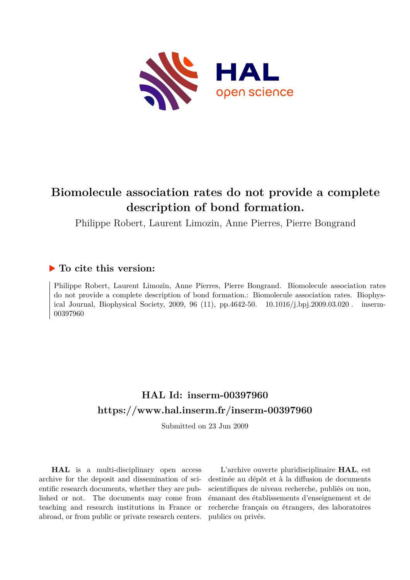

# **Biomolecule association rates do not provide a complete description of bond formation.**

Philippe Robert, Laurent Limozin, Anne Pierres, Pierre Bongrand

## **To cite this version:**

Philippe Robert, Laurent Limozin, Anne Pierres, Pierre Bongrand. Biomolecule association rates do not provide a complete description of bond formation.: Biomolecule association rates. Biophysical Journal, Biophysical Society, 2009, 96 (11), pp.4642-50.  $10.1016/j.bpj.2009.03.020$ . inserm-00397960ff

# **HAL Id: inserm-00397960 <https://www.hal.inserm.fr/inserm-00397960>**

Submitted on 23 Jun 2009

**HAL** is a multi-disciplinary open access archive for the deposit and dissemination of scientific research documents, whether they are published or not. The documents may come from teaching and research institutions in France or abroad, or from public or private research centers.

L'archive ouverte pluridisciplinaire **HAL**, est destinée au dépôt et à la diffusion de documents scientifiques de niveau recherche, publiés ou non, émanant des établissements d'enseignement et de recherche français ou étrangers, des laboratoires publics ou privés.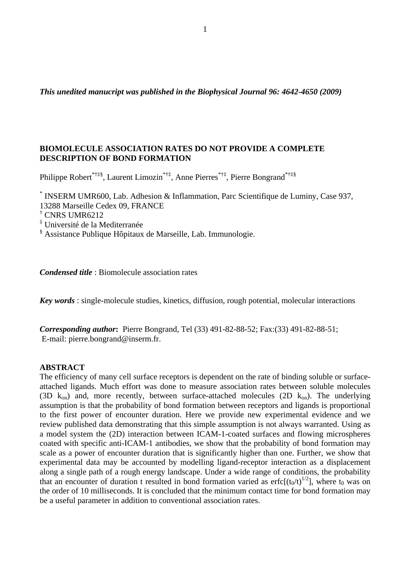*This unedited manucript was published in the Biophysical Journal 96: 4642-4650 (2009)* 

## **BIOMOLECULE ASSOCIATION RATES DO NOT PROVIDE A COMPLETE DESCRIPTION OF BOND FORMATION**

Philippe Robert\*†‡§, Laurent Limozin\*†‡, Anne Pierres\*†‡, Pierre Bongrand\*†‡§

\* INSERM UMR600, Lab. Adhesion & Inflammation, Parc Scientifique de Luminy, Case 937,

13288 Marseille Cedex 09, FRANCE

† CNRS UMR6212

‡ Université de la Mediterranée

§ Assistance Publique Hôpitaux de Marseille, Lab. Immunologie.

*Condensed title* : Biomolecule association rates

*Key words* : single-molecule studies, kinetics, diffusion, rough potential, molecular interactions

*Corresponding author***:** Pierre Bongrand, Tel (33) 491-82-88-52; Fax:(33) 491-82-88-51; E-mail: pierre.bongrand@inserm.fr.

#### **ABSTRACT**

The efficiency of many cell surface receptors is dependent on the rate of binding soluble or surfaceattached ligands. Much effort was done to measure association rates between soluble molecules (3D  $k_{on}$ ) and, more recently, between surface-attached molecules (2D  $k_{on}$ ). The underlying assumption is that the probability of bond formation between receptors and ligands is proportional to the first power of encounter duration. Here we provide new experimental evidence and we review published data demonstrating that this simple assumption is not always warranted. Using as a model system the (2D) interaction between ICAM-1-coated surfaces and flowing microspheres coated with specific anti-ICAM-1 antibodies, we show that the probability of bond formation may scale as a power of encounter duration that is significantly higher than one. Further, we show that experimental data may be accounted by modelling ligand-receptor interaction as a displacement along a single path of a rough energy landscape. Under a wide range of conditions, the probability that an encounter of duration t resulted in bond formation varied as erfc $[(t_0/t)^{1/2}]$ , where  $t_0$  was on the order of 10 milliseconds. It is concluded that the minimum contact time for bond formation may be a useful parameter in addition to conventional association rates.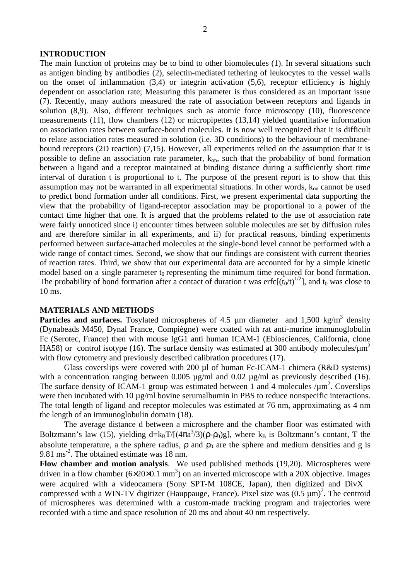#### **INTRODUCTION**

The main function of proteins may be to bind to other biomolecules (1). In several situations such as antigen binding by antibodies (2), selectin-mediated tethering of leukocytes to the vessel walls on the onset of inflammation  $(3,4)$  or integrin activation  $(5,6)$ , receptor efficiency is highly dependent on association rate; Measuring this parameter is thus considered as an important issue (7). Recently, many authors measured the rate of association between receptors and ligands in solution (8,9). Also, different techniques such as atomic force microscopy (10), fluorescence measurements (11), flow chambers (12) or micropipettes (13,14) yielded quantitative information on association rates between surface-bound molecules. It is now well recognized that it is difficult to relate association rates measured in solution (i.e. 3D conditions) to the behaviour of membranebound receptors (2D reaction) (7,15). However, all experiments relied on the assumption that it is possible to define an association rate parameter,  $k_{on}$ , such that the probability of bond formation between a ligand and a receptor maintained at binding distance during a sufficiently short time interval of duration t is proportional to t. The purpose of the present report is to show that this assumption may not be warranted in all experimental situations. In other words,  $k_{on}$  cannot be used to predict bond formation under all conditions. First, we present experimental data supporting the view that the probability of ligand-receptor association may be proportional to a power of the contact time higher that one. It is argued that the problems related to the use of association rate were fairly unnoticed since i) encounter times between soluble molecules are set by diffusion rules and are therefore similar in all experiments, and ii) for practical reasons, binding experiments performed between surface-attached molecules at the single-bond level cannot be performed with a wide range of contact times. Second, we show that our findings are consistent with current theories of reaction rates. Third, we show that our experimental data are accounted for by a simple kinetic model based on a single parameter  $t_0$  representing the minimum time required for bond formation. The probability of bond formation after a contact of duration t was erfc $[(t_0/t)^{1/2}]$ , and  $t_0$  was close to 10 ms.

#### **MATERIALS AND METHODS**

**Particles and surfaces.** Tosylated microspheres of 4.5  $\mu$ m diameter and 1,500 kg/m<sup>3</sup> density (Dynabeads M450, Dynal France, Compiègne) were coated with rat anti-murine immunoglobulin Fc (Serotec, France) then with mouse IgG1 anti human ICAM-1 (Ebiosciences, California, clone HA58) or control isotype (16). The surface density was estimated at 300 antibody molecules/ $\mu$ m<sup>2</sup> with flow cytometry and previously described calibration procedures (17).

Glass coverslips were covered with 200 µl of human Fc-ICAM-1 chimera (R&D systems) with a concentration ranging between 0.005  $\mu$ g/ml and 0.02  $\mu$ g/ml as previously described (16). The surface density of ICAM-1 group was estimated between 1 and 4 molecules  $/\mu$ m<sup>2</sup>. Coverslips were then incubated with 10 µg/ml bovine serumalbumin in PBS to reduce nonspecific interactions. The total length of ligand and receptor molecules was estimated at 76 nm, approximating as 4 nm the length of an immunoglobulin domain (18).

The average distance d between a microsphere and the chamber floor was estimated with Boltzmann's law (15), yielding  $d=k_BT/[(4\pi a^3/3)(\rho-\rho_0)g]$ , where  $k_B$  is Boltzmann's contant, T the absolute temperature, a the sphere radius,  $\rho$  and  $\rho_0$  are the sphere and medium densities and g is 9.81 ms<sup>-2</sup>. The obtained estimate was 18 nm.

**Flow chamber and motion analysis**. We used published methods (19,20). Microspheres were driven in a flow chamber  $(6 \times 20 \times 0.1 \text{ mm}^3)$  on an inverted microscope with a 20X objective. Images were acquired with a videocamera (Sony SPT-M 108CE, Japan), then digitized and DivX compressed with a WIN-TV digitizer (Hauppauge, France). Pixel size was  $(0.5 \mu m)^2$ . The centroid of microspheres was determined with a custom-made tracking program and trajectories were recorded with a time and space resolution of 20 ms and about 40 nm respectively.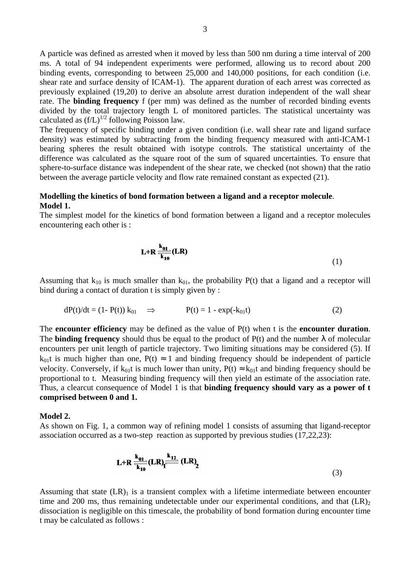A particle was defined as arrested when it moved by less than 500 nm during a time interval of 200 ms. A total of 94 independent experiments were performed, allowing us to record about 200 binding events, corresponding to between 25,000 and 140,000 positions, for each condition (i.e. shear rate and surface density of ICAM-1). The apparent duration of each arrest was corrected as previously explained (19,20) to derive an absolute arrest duration independent of the wall shear rate. The **binding frequency** f (per mm) was defined as the number of recorded binding events divided by the total trajectory length L of monitored particles. The statistical uncertainty was calculated as  $(f/L)^{1/2}$  following Poisson law.

The frequency of specific binding under a given condition (i.e. wall shear rate and ligand surface density) was estimated by subtracting from the binding frequency measured with anti-ICAM-1 bearing spheres the result obtained with isotype controls. The statistical uncertainty of the difference was calculated as the square root of the sum of squared uncertainties. To ensure that sphere-to-surface distance was independent of the shear rate, we checked (not shown) that the ratio between the average particle velocity and flow rate remained constant as expected (21).

## **Modelling the kinetics of bond formation between a ligand and a receptor molecule**. **Model 1.**

The simplest model for the kinetics of bond formation between a ligand and a receptor molecules encountering each other is :

$$
L+R\frac{k_{01}}{k_{10}}(LR)
$$
 (1)

Assuming that  $k_{10}$  is much smaller than  $k_{01}$ , the probability P(t) that a ligand and a receptor will bind during a contact of duration t is simply given by :

$$
dP(t)/dt = (1 - P(t)) k_{01} \quad \Rightarrow \qquad P(t) = 1 - \exp(-k_{01}t) \tag{2}
$$

The **encounter efficiency** may be defined as the value of P(t) when t is the **encounter duration**. The **binding frequency** should thus be equal to the product of  $P(t)$  and the number  $\lambda$  of molecular encounters per unit length of particle trajectory. Two limiting situations may be considered (5). If  $k_{01}$ t is much higher than one,  $P(t) \approx 1$  and binding frequency should be independent of particle velocity. Conversely, if  $k_0$ t is much lower than unity,  $P(t) \approx k_0$ t and binding frequency should be proportional to t. Measuring binding frequency will then yield an estimate of the association rate. Thus, a clearcut consequence of Model 1 is that **binding frequency should vary as a power of t comprised between 0 and 1.** 

#### **Model 2.**

As shown on Fig. 1, a common way of refining model 1 consists of assuming that ligand-receptor association occurred as a two-step reaction as supported by previous studies (17,22,23):

$$
L+R\frac{k_{01}}{k_{10}}(LR)\frac{k_{12}}{k_{10}}(LR)\tag{3}
$$

Assuming that state  $(LR)$ <sub>1</sub> is a transient complex with a lifetime intermediate between encounter time and 200 ms, thus remaining undetectable under our experimental conditions, and that  $(LR)$ <sub>2</sub> dissociation is negligible on this timescale, the probability of bond formation during encounter time t may be calculated as follows :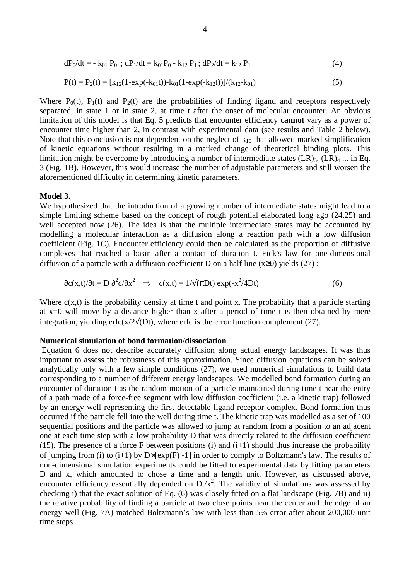$$
dP_0/dt = -k_{01} P_0 ; dP_1/dt = k_{01} P_0 - k_{12} P_1 ; dP_2/dt = k_{12} P_1
$$
\n(4)

$$
P(t) = P_2(t) = [k_{12}(1 - exp(-k_{01}t)) - k_{01}(1 - exp(-k_{12}t))] / (k_{12} - k_{01})
$$
\n(5)

Where  $P_0(t)$ ,  $P_1(t)$  and  $P_2(t)$  are the probabilities of finding ligand and receptors respectively separated, in state 1 or in state 2, at time t after the onset of molecular encounter. An obvious limitation of this model is that Eq. 5 predicts that encounter efficiency **cannot** vary as a power of encounter time higher than 2, in contrast with experimental data (see results and Table 2 below). Note that this conclusion is not dependent on the neglect of  $k_{10}$  that allowed marked simplification of kinetic equations without resulting in a marked change of theoretical binding plots. This limitation might be overcome by introducing a number of intermediate states  $(LR)_{3}$ ,  $(LR)_{4}$  ... in Eq. 3 (Fig. 1B). However, this would increase the number of adjustable parameters and still worsen the aforementioned difficulty in determining kinetic parameters.

#### **Model 3.**

We hypothesized that the introduction of a growing number of intermediate states might lead to a simple limiting scheme based on the concept of rough potential elaborated long ago (24,25) and well accepted now (26). The idea is that the multiple intermediate states may be accounted by modelling a molecular interaction as a diffusion along a reaction path with a low diffusion coefficient (Fig. 1C). Encounter efficiency could then be calculated as the proportion of diffusive complexes that reached a basin after a contact of duration t. Fick's law for one-dimensional diffusion of a particle with a diffusion coefficient D on a half line  $(x\geq 0)$  yields (27):

$$
\frac{\partial c(x,t)}{\partial t} = D \frac{\partial^2 c}{\partial x^2} \implies c(x,t) = \frac{1}{\sqrt{\pi D t}} \exp(-x^2/4Dt) \tag{6}
$$

Where  $c(x,t)$  is the probability density at time t and point x. The probability that a particle starting at x=0 will move by a distance higher than x after a period of time t is then obtained by mere integration, yielding erfc(x/2 $\sqrt{(Dt)}$ , where erfc is the error function complement (27).

#### **Numerical simulation of bond formation/dissociation**.

 Equation 6 does not describe accurately diffusion along actual energy landscapes. It was thus important to assess the robustness of this approximation. Since diffusion equations can be solved analytically only with a few simple conditions (27), we used numerical simulations to build data corresponding to a number of different energy landscapes. We modelled bond formation during an encounter of duration t as the random motion of a particle maintained during time t near the entry of a path made of a force-free segment with low diffusion coefficient (i.e. a kinetic trap) followed by an energy well representing the first detectable ligand-receptor complex. Bond formation thus occurred if the particle fell into the well during time t. The kinetic trap was modelled as a set of 100 sequential positions and the particle was allowed to jump at random from a position to an adjacent one at each time step with a low probability D that was directly related to the diffusion coefficient (15). The presence of a force F between positions (i) and  $(i+1)$  should thus increase the probability of jumping from (i) to  $(i+1)$  by  $D \times [\exp(F) -1]$  in order to comply to Boltzmann's law. The results of non-dimensional simulation experiments could be fitted to experimental data by fitting parameters D and x, which amounted to chose a time and a length unit. However, as discussed above, encounter efficiency essentially depended on  $Dt/x^2$ . The validity of simulations was assessed by checking i) that the exact solution of Eq. (6) was closely fitted on a flat landscape (Fig. 7B) and ii) the relative probability of finding a particle at two close points near the center and the edge of an energy well (Fig. 7A) matched Boltzmann's law with less than 5% error after about 200,000 unit time steps.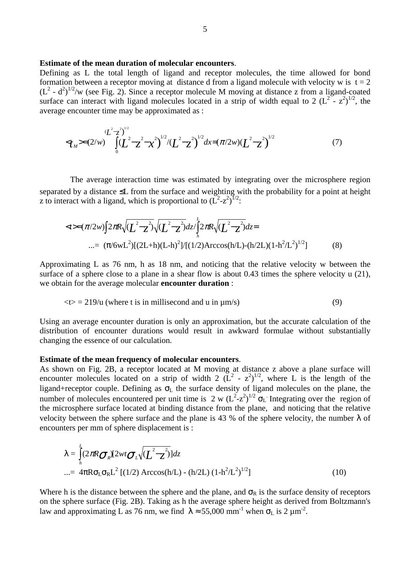#### **Estimate of the mean duration of molecular encounters**.

Defining as L the total length of ligand and receptor molecules, the time allowed for bond formation between a receptor moving at distance d from a ligand molecule with velocity w is  $t = 2$  $(L<sup>2</sup> - d<sup>2</sup>)<sup>1/2</sup>/w$  (see Fig. 2). Since a receptor molecule M moving at distance z from a ligand-coated surface can interact with ligand molecules located in a strip of width equal to 2  $(L^2 - z^2)^{1/2}$ , the average encounter time may be approximated as :

$$
\langle L^2 - z^2 \rangle^{1/2} = (2/w) \int_0^{(L^2 - z^2)} \left[ (L^2 - z^2 - x^2)^{1/2} / (L^2 - z^2)^{1/2} \right] dx = (\pi/2w) (L^2 - z^2)^{1/2}
$$
 (7)

 The average interaction time was estimated by integrating over the microsphere region separated by a distance ≤L from the surface and weighting with the probability for a point at height z to interact with a ligand, which is proportional to  $(L^2-z^2)^{1/2}$ .

$$
\langle t \rangle = (\pi/2w) \int 2\pi R \sqrt{(L^2 - z^2)} \sqrt{(L^2 - z^2)} dz / \int_{h}^{L} 2\pi R \sqrt{(L^2 - z^2)} dz =
$$
  
...=  $(\pi/6wL^2) [(2L+h)(L-h)^2]/[(1/2)Arccos(h/L) - (h/2L)(1-h^2/L^2)^{1/2}]$  (8)

Approximating L as 76 nm, h as 18 nm, and noticing that the relative velocity w between the surface of a sphere close to a plane in a shear flow is about 0.43 times the sphere velocity u (21), we obtain for the average molecular **encounter duration** :

$$
\langle t \rangle = 219/u
$$
 (where t is in millisecond and u in  $\mu$ m/s) (9)

Using an average encounter duration is only an approximation, but the accurate calculation of the distribution of encounter durations would result in awkward formulae without substantially changing the essence of our calculation.

#### **Estimate of the mean frequency of molecular encounters**.

As shown on Fig. 2B, a receptor located at M moving at distance z above a plane surface will encounter molecules located on a strip of width 2  $(L^2 - z^2)^{1/2}$ , where L is the length of the ligand+receptor couple. Defining as  $\sigma_L$  the surface density of ligand molecules on the plane, the number of molecules encountered per unit time is 2 w  $(L^2-z^2)^{1/2}$   $\sigma_L$  Integrating over the region of the microsphere surface located at binding distance from the plane, and noticing that the relative velocity between the sphere surface and the plane is 43 % of the sphere velocity, the number  $\lambda$  of encounters per mm of sphere displacement is :

$$
\lambda = \int_{h}^{L} (2\pi R \sigma_R)[2wt \sigma_L \sqrt{(L^2 - z^2)}] dz
$$
  
...=  $4\pi R \sigma_L \sigma_R L^2 [(1/2) \text{ Arccos(h/L)} - (\text{h/2L}) (1 - \text{h}^2/L^2)^{1/2}]$  (10)

Where h is the distance between the sphere and the plane, and  $\sigma_R$  is the surface density of receptors on the sphere surface (Fig. 2B). Taking as h the average sphere height as derived from Boltzmann's law and approximating L as 76 nm, we find  $\lambda \approx 55{,}000$  mm<sup>-1</sup> when  $\sigma_L$  is 2  $\mu$ m<sup>-2</sup>.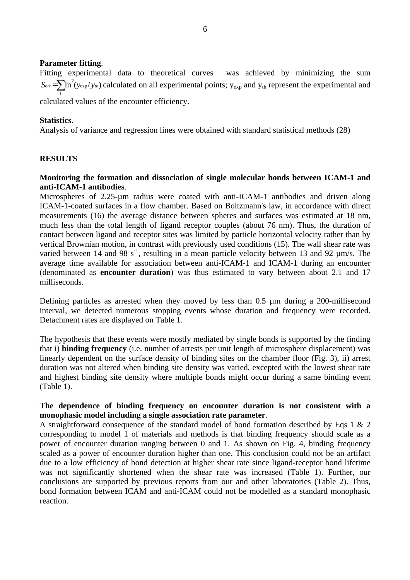#### **Parameter fitting**.

Fitting experimental data to theoretical curves was achieved by minimizing the sum  $S_{err} = \sum \ln^2(y_{exp}/y_{th})$  calculated on all experimental points; y<sub>exp</sub> and y<sub>th</sub> represent the experimental and *i* calculated values of the encounter efficiency.

#### **Statistics**.

Analysis of variance and regression lines were obtained with standard statistical methods (28)

## **RESULTS**

## **Monitoring the formation and dissociation of single molecular bonds between ICAM-1 and anti-ICAM-1 antibodies**.

Microspheres of 2.25-µm radius were coated with anti-ICAM-1 antibodies and driven along ICAM-1-coated surfaces in a flow chamber. Based on Boltzmann's law, in accordance with direct measurements (16) the average distance between spheres and surfaces was estimated at 18 nm, much less than the total length of ligand receptor couples (about 76 nm). Thus, the duration of contact between ligand and receptor sites was limited by particle horizontal velocity rather than by vertical Brownian motion, in contrast with previously used conditions (15). The wall shear rate was varied between 14 and 98 s<sup>-1</sup>, resulting in a mean particle velocity between 13 and 92  $\mu$ m/s. The average time available for association between anti-ICAM-1 and ICAM-1 during an encounter (denominated as **encounter duration**) was thus estimated to vary between about 2.1 and 17 milliseconds.

Defining particles as arrested when they moved by less than 0.5 µm during a 200-millisecond interval, we detected numerous stopping events whose duration and frequency were recorded. Detachment rates are displayed on Table 1.

The hypothesis that these events were mostly mediated by single bonds is supported by the finding that i) **binding frequency** (i.e. number of arrests per unit length of microsphere displacement) was linearly dependent on the surface density of binding sites on the chamber floor (Fig. 3), ii) arrest duration was not altered when binding site density was varied, excepted with the lowest shear rate and highest binding site density where multiple bonds might occur during a same binding event (Table 1).

## **The dependence of binding frequency on encounter duration is not consistent with a monophasic model including a single association rate parameter**.

A straightforward consequence of the standard model of bond formation described by Eqs 1 & 2 corresponding to model 1 of materials and methods is that binding frequency should scale as a power of encounter duration ranging between 0 and 1. As shown on Fig. 4, binding frequency scaled as a power of encounter duration higher than one. This conclusion could not be an artifact due to a low efficiency of bond detection at higher shear rate since ligand-receptor bond lifetime was not significantly shortened when the shear rate was increased (Table 1). Further, our conclusions are supported by previous reports from our and other laboratories (Table 2). Thus, bond formation between ICAM and anti-ICAM could not be modelled as a standard monophasic reaction.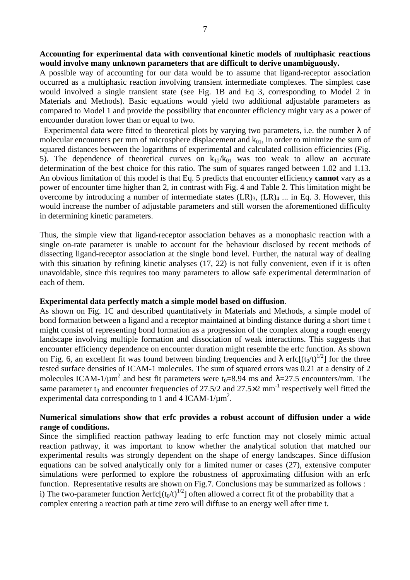## **Accounting for experimental data with conventional kinetic models of multiphasic reactions would involve many unknown parameters that are difficult to derive unambiguously.**

A possible way of accounting for our data would be to assume that ligand-receptor association occurred as a multiphasic reaction involving transient intermediate complexes. The simplest case would involved a single transient state (see Fig. 1B and Eq 3, corresponding to Model 2 in Materials and Methods). Basic equations would yield two additional adjustable parameters as compared to Model 1 and provide the possibility that encounter efficiency might vary as a power of encounder duration lower than or equal to two.

Experimental data were fitted to theoretical plots by varying two parameters, i.e. the number  $\lambda$  of molecular encounters per mm of microsphere displacement and  $k_{01}$ , in order to minimize the sum of squared distances between the logarithms of experimental and calculated collision efficiencies (Fig. 5). The dependence of theoretical curves on  $k_{12}/k_{01}$  was too weak to allow an accurate determination of the best choice for this ratio. The sum of squares ranged between 1.02 and 1.13. An obvious limitation of this model is that Eq. 5 predicts that encounter efficiency **cannot** vary as a power of encounter time higher than 2, in contrast with Fig. 4 and Table 2. This limitation might be overcome by introducing a number of intermediate states  $(LR)_{3}$ ,  $(LR)_{4}$  ... in Eq. 3. However, this would increase the number of adjustable parameters and still worsen the aforementioned difficulty in determining kinetic parameters.

Thus, the simple view that ligand-receptor association behaves as a monophasic reaction with a single on-rate parameter is unable to account for the behaviour disclosed by recent methods of dissecting ligand-receptor association at the single bond level. Further, the natural way of dealing with this situation by refining kinetic analyses (17, 22) is not fully convenient, even if it is often unavoidable, since this requires too many parameters to allow safe experimental determination of each of them.

## **Experimental data perfectly match a simple model based on diffusion**.

As shown on Fig. 1C and described quantitatively in Materials and Methods, a simple model of bond formation between a ligand and a receptor maintained at binding distance during a short time t might consist of representing bond formation as a progression of the complex along a rough energy landscape involving multiple formation and dissociation of weak interactions. This suggests that encounter efficiency dependence on encounter duration might resemble the erfc function. As shown on Fig. 6, an excellent fit was found between binding frequencies and  $\lambda$  erfc $[(t_0/t)^{1/2}]$  for the three tested surface densities of ICAM-1 molecules. The sum of squared errors was 0.21 at a density of 2 molecules ICAM-1/ $\mu$ m<sup>2</sup> and best fit parameters were t<sub>0</sub>=8.94 ms and  $\lambda$ =27.5 encounters/mm. The same parameter  $t_0$  and encounter frequencies of 27.5/2 and 27.5 $\times$ 2 mm<sup>-1</sup> respectively well fitted the experimental data corresponding to 1 and 4 ICAM-1/ $\mu$ m<sup>2</sup>.

## **Numerical simulations show that erfc provides a robust account of diffusion under a wide range of conditions.**

Since the simplified reaction pathway leading to erfc function may not closely mimic actual reaction pathway, it was important to know whether the analytical solution that matched our experimental results was strongly dependent on the shape of energy landscapes. Since diffusion equations can be solved analytically only for a limited numer or cases (27), extensive computer simulations were performed to explore the robustness of approximating diffusion with an erfc function. Representative results are shown on Fig.7. Conclusions may be summarized as follows : i) The two-parameter function  $\text{Aerfc}[(t_0/t)^{1/2}]$  often allowed a correct fit of the probability that a complex entering a reaction path at time zero will diffuse to an energy well after time t.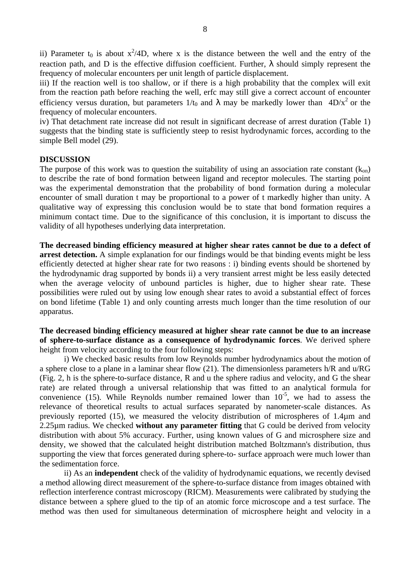ii) Parameter t<sub>0</sub> is about  $x^2/4D$ , where x is the distance between the well and the entry of the reaction path, and D is the effective diffusion coefficient. Further,  $\lambda$  should simply represent the frequency of molecular encounters per unit length of particle displacement.

iii) If the reaction well is too shallow, or if there is a high probability that the complex will exit from the reaction path before reaching the well, erfc may still give a correct account of encounter efficiency versus duration, but parameters  $1/t_0$  and  $\lambda$  may be markedly lower than  $4D/x^2$  or the frequency of molecular encounters.

iv) That detachment rate increase did not result in significant decrease of arrest duration (Table 1) suggests that the binding state is sufficiently steep to resist hydrodynamic forces, according to the simple Bell model (29).

#### **DISCUSSION**

The purpose of this work was to question the suitability of using an association rate constant  $(k_{on})$ to describe the rate of bond formation between ligand and receptor molecules. The starting point was the experimental demonstration that the probability of bond formation during a molecular encounter of small duration t may be proportional to a power of t markedly higher than unity. A qualitative way of expressing this conclusion would be to state that bond formation requires a minimum contact time. Due to the significance of this conclusion, it is important to discuss the validity of all hypotheses underlying data interpretation.

**The decreased binding efficiency measured at higher shear rates cannot be due to a defect of arrest detection.** A simple explanation for our findings would be that binding events might be less efficiently detected at higher shear rate for two reasons : i) binding events should be shortened by the hydrodynamic drag supported by bonds ii) a very transient arrest might be less easily detected when the average velocity of unbound particles is higher, due to higher shear rate. These possibilities were ruled out by using low enough shear rates to avoid a substantial effect of forces on bond lifetime (Table 1) and only counting arrests much longer than the time resolution of our apparatus.

**The decreased binding efficiency measured at higher shear rate cannot be due to an increase of sphere-to-surface distance as a consequence of hydrodynamic forces**. We derived sphere height from velocity according to the four following steps:

 i) We checked basic results from low Reynolds number hydrodynamics about the motion of a sphere close to a plane in a laminar shear flow (21). The dimensionless parameters h/R and u/RG (Fig. 2, h is the sphere-to-surface distance, R and u the sphere radius and velocity, and G the shear rate) are related through a universal relationship that was fitted to an analytical formula for convenience (15). While Reynolds number remained lower than  $10^{-5}$ , we had to assess the relevance of theoretical results to actual surfaces separated by nanometer-scale distances. As previously reported (15), we measured the velocity distribution of microspheres of 1.4µm and 2.25µm radius. We checked **without any parameter fitting** that G could be derived from velocity distribution with about 5% accuracy. Further, using known values of G and microsphere size and density, we showed that the calculated height distribution matched Boltzmann's distribution, thus supporting the view that forces generated during sphere-to- surface approach were much lower than the sedimentation force.

 ii) As an **independent** check of the validity of hydrodynamic equations, we recently devised a method allowing direct measurement of the sphere-to-surface distance from images obtained with reflection interference contrast microscopy (RICM). Measurements were calibrated by studying the distance between a sphere glued to the tip of an atomic force microscope and a test surface. The method was then used for simultaneous determination of microsphere height and velocity in a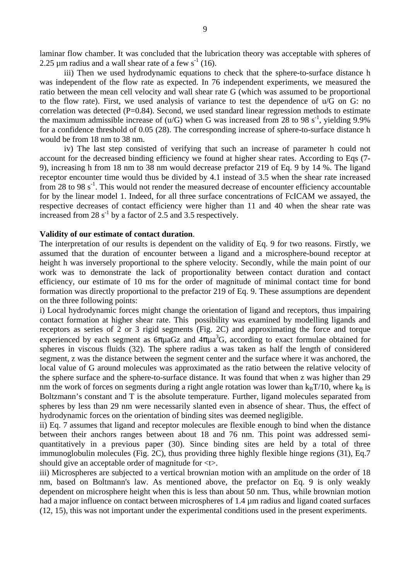laminar flow chamber. It was concluded that the lubrication theory was acceptable with spheres of 2.25  $\mu$ m radius and a wall shear rate of a few s<sup>-1</sup> (16).

 iii) Then we used hydrodynamic equations to check that the sphere-to-surface distance h was independent of the flow rate as expected. In 76 independent experiments, we measured the ratio between the mean cell velocity and wall shear rate G (which was assumed to be proportional to the flow rate). First, we used analysis of variance to test the dependence of u/G on G: no correlation was detected  $(P=0.84)$ . Second, we used standard linear regression methods to estimate the maximum admissible increase of ( $u/G$ ) when G was increased from 28 to 98 s<sup>-1</sup>, yielding 9.9% for a confidence threshold of 0.05 (28). The corresponding increase of sphere-to-surface distance h would be from 18 nm to 38 nm.

 iv) The last step consisted of verifying that such an increase of parameter h could not account for the decreased binding efficiency we found at higher shear rates. According to Eqs (7- 9), increasing h from 18 nm to 38 nm would decrease prefactor 219 of Eq. 9 by 14 %. The ligand receptor encounter time would thus be divided by 4.1 instead of 3.5 when the shear rate increased from 28 to 98  $s^{-1}$ . This would not render the measured decrease of encounter efficiency accountable for by the linear model 1. Indeed, for all three surface concentrations of FcICAM we assayed, the respective decreases of contact efficiency were higher than 11 and 40 when the shear rate was increased from 28  $s^{-1}$  by a factor of 2.5 and 3.5 respectively.

#### **Validity of our estimate of contact duration**.

The interpretation of our results is dependent on the validity of Eq. 9 for two reasons. Firstly, we assumed that the duration of encounter between a ligand and a microsphere-bound receptor at height h was inversely proportional to the sphere velocity. Secondly, while the main point of our work was to demonstrate the lack of proportionality between contact duration and contact efficiency, our estimate of 10 ms for the order of magnitude of minimal contact time for bond formation was directly proportional to the prefactor 219 of Eq. 9. These assumptions are dependent on the three following points:

i) Local hydrodynamic forces might change the orientation of ligand and receptors, thus impairing contact formation at higher shear rate. This possibility was examined by modelling ligands and receptors as series of 2 or 3 rigid segments (Fig. 2C) and approximating the force and torque experienced by each segment as  $6\pi\mu$ aGz and  $4\pi\mu$ a<sup>3</sup>G, according to exact formulae obtained for spheres in viscous fluids (32). The sphere radius a was taken as half the length of considered segment, z was the distance between the segment center and the surface where it was anchored, the local value of G around molecules was approximated as the ratio between the relative velocity of the sphere surface and the sphere-to-surface distance. It was found that when z was higher than 29 nm the work of forces on segments during a right angle rotation was lower than  $k_BT/10$ , where  $k_B$  is Boltzmann's constant and T is the absolute temperature. Further, ligand molecules separated from spheres by less than 29 nm were necessarily slanted even in absence of shear. Thus, the effect of hydrodynamic forces on the orientation of binding sites was deemed negligible.

ii) Eq. 7 assumes that ligand and receptor molecules are flexible enough to bind when the distance between their anchors ranges between about 18 and 76 nm. This point was addressed semiquantitatively in a previous paper (30). Since binding sites are held by a total of three immunoglobulin molecules (Fig. 2C), thus providing three highly flexible hinge regions (31), Eq.7 should give an acceptable order of magnitude for <t>.

iii) Microspheres are subjected to a vertical brownian motion with an amplitude on the order of 18 nm, based on Boltmann's law. As mentioned above, the prefactor on Eq. 9 is only weakly dependent on microsphere height when this is less than about 50 nm. Thus, while brownian motion had a major influence on contact between microspheres of 1.4  $\mu$ m radius and ligand coated surfaces (12, 15), this was not important under the experimental conditions used in the present experiments.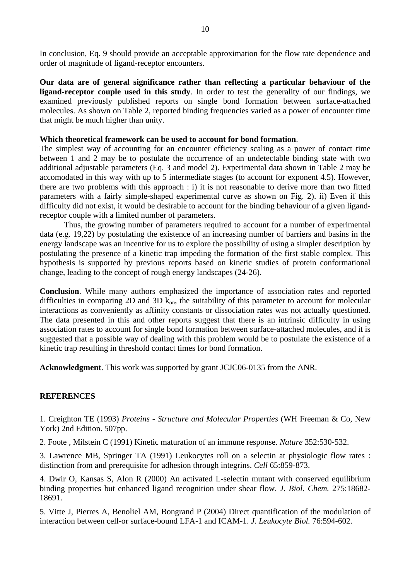In conclusion, Eq. 9 should provide an acceptable approximation for the flow rate dependence and order of magnitude of ligand-receptor encounters.

**Our data are of general significance rather than reflecting a particular behaviour of the ligand-receptor couple used in this study**. In order to test the generality of our findings, we examined previously published reports on single bond formation between surface-attached molecules. As shown on Table 2, reported binding frequencies varied as a power of encounter time that might be much higher than unity.

#### **Which theoretical framework can be used to account for bond formation**.

The simplest way of accounting for an encounter efficiency scaling as a power of contact time between 1 and 2 may be to postulate the occurrence of an undetectable binding state with two additional adjustable parameters (Eq. 3 and model 2). Experimental data shown in Table 2 may be accomodated in this way with up to 5 intermediate stages (to account for exponent 4.5). However, there are two problems with this approach : i) it is not reasonable to derive more than two fitted parameters with a fairly simple-shaped experimental curve as shown on Fig. 2). ii) Even if this difficulty did not exist, it would be desirable to account for the binding behaviour of a given ligandreceptor couple with a limited number of parameters.

 Thus, the growing number of parameters required to account for a number of experimental data (e.g. 19,22) by postulating the existence of an increasing number of barriers and basins in the energy landscape was an incentive for us to explore the possibility of using a simpler description by postulating the presence of a kinetic trap impeding the formation of the first stable complex. This hypothesis is supported by previous reports based on kinetic studies of protein conformational change, leading to the concept of rough energy landscapes (24-26).

**Conclusion**. While many authors emphasized the importance of association rates and reported difficulties in comparing 2D and 3D  $k_{on}$ , the suitability of this parameter to account for molecular interactions as conveniently as affinity constants or dissociation rates was not actually questioned. The data presented in this and other reports suggest that there is an intrinsic difficulty in using association rates to account for single bond formation between surface-attached molecules, and it is suggested that a possible way of dealing with this problem would be to postulate the existence of a kinetic trap resulting in threshold contact times for bond formation.

**Acknowledgment**. This work was supported by grant JCJC06-0135 from the ANR.

## **REFERENCES**

1. Creighton TE (1993) *Proteins - Structure and Molecular Properties* (WH Freeman & Co, New York) 2nd Edition. 507pp.

2. Foote , Milstein C (1991) Kinetic maturation of an immune response. *Nature* 352:530-532.

3. Lawrence MB, Springer TA (1991) Leukocytes roll on a selectin at physiologic flow rates : distinction from and prerequisite for adhesion through integrins. *Cell* 65:859-873.

4. Dwir O, Kansas S, Alon R (2000) An activated L-selectin mutant with conserved equilibrium binding properties but enhanced ligand recognition under shear flow. *J. Biol. Chem.* 275:18682- 18691.

5. Vitte J, Pierres A, Benoliel AM, Bongrand P (2004) Direct quantification of the modulation of interaction between cell-or surface-bound LFA-1 and ICAM-1. *J. Leukocyte Biol.* 76:594-602.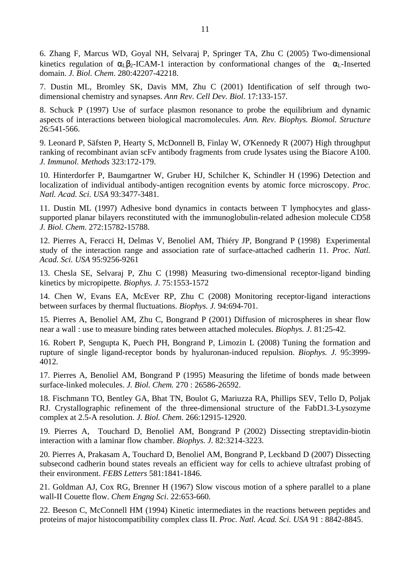6. Zhang F, Marcus WD, Goyal NH, Selvaraj P, Springer TA, Zhu C (2005) Two-dimensional kinetics regulation of  $\alpha_1 \beta_2$ -ICAM-1 interaction by conformational changes of the  $\alpha_1$ -Inserted domain. *J. Biol. Chem*. 280:42207-42218.

7. Dustin ML, Bromley SK, Davis MM, Zhu C (2001) Identification of self through twodimensional chemistry and synapses. *Ann Rev. Cell Dev. Biol*. 17:133-157.

8. Schuck P (1997) Use of surface plasmon resonance to probe the equilibrium and dynamic aspects of interactions between biological macromolecules. *Ann. Rev. Biophys. Biomol. Structure* 26:541-566.

9. Leonard P, Säfsten P, Hearty S, McDonnell B, Finlay W, O'Kennedy R (2007) High throughput ranking of recombinant avian scFv antibody fragments from crude lysates using the Biacore A100. *J. Immunol. Methods* 323:172-179.

10. Hinterdorfer P, Baumgartner W, Gruber HJ, Schilcher K, Schindler H (1996) Detection and localization of individual antibody-antigen recognition events by atomic force microscopy. *Proc. Natl. Acad. Sci. USA* 93:3477-3481.

11. Dustin ML (1997) Adhesive bond dynamics in contacts between T lymphocytes and glasssupported planar bilayers reconstituted with the immunoglobulin-related adhesion molecule CD58 *J. Biol. Chem*. 272:15782-15788.

12. Pierres A, Feracci H, Delmas V, Benoliel AM, Thiéry JP, Bongrand P (1998) Experimental study of the interaction range and association rate of surface-attached cadherin 11. *Proc. Natl. Acad. Sci. USA* 95:9256-9261

13. Chesla SE, Selvaraj P, Zhu C (1998) Measuring two-dimensional receptor-ligand binding kinetics by micropipette. *Biophys. J.* 75:1553-1572

14. Chen W, Evans EA, McEver RP, Zhu C (2008) Monitoring receptor-ligand interactions between surfaces by thermal fluctuations. *Biophys. J.* 94:694-701.

15. Pierres A, Benoliel AM, Zhu C, Bongrand P (2001) Diffusion of microspheres in shear flow near a wall : use to measure binding rates between attached molecules. *Biophys. J.* 81:25-42.

16. Robert P, Sengupta K, Puech PH, Bongrand P, Limozin L (2008) Tuning the formation and rupture of single ligand-receptor bonds by hyaluronan-induced repulsion. *Biophys. J.* 95:3999- 4012*.*

17. Pierres A, Benoliel AM, Bongrand P (1995) Measuring the lifetime of bonds made between surface-linked molecules. *J. Biol. Chem.* 270 : 26586-26592.

18. Fischmann TO, Bentley GA, Bhat TN, Boulot G, Mariuzza RA, Phillips SEV, Tello D, Poljak RJ. Crystallographic refinement of the three-dimensional structure of the FabD1.3-Lysozyme complex at 2.5-A resolution. *J. Biol. Chem*. 266:12915-12920.

19. Pierres A, Touchard D, Benoliel AM, Bongrand P (2002) Dissecting streptavidin-biotin interaction with a laminar flow chamber. *Biophys. J.* 82:3214-3223.

20. Pierres A, Prakasam A, Touchard D, Benoliel AM, Bongrand P, Leckband D (2007) Dissecting subsecond cadherin bound states reveals an efficient way for cells to achieve ultrafast probing of their environment. *FEBS Letters* 581:1841-1846.

21. Goldman AJ, Cox RG, Brenner H (1967) Slow viscous motion of a sphere parallel to a plane wall-II Couette flow. *Chem Engng Sci*. 22:653-660.

22. Beeson C, McConnell HM (1994) Kinetic intermediates in the reactions between peptides and proteins of major histocompatibility complex class II. *Proc. Natl. Acad. Sci. USA* 91 : 8842-8845.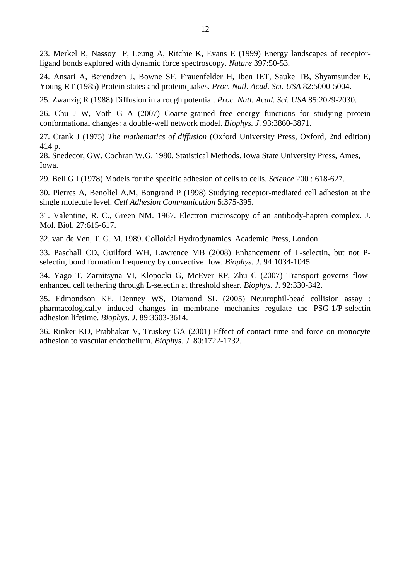23. Merkel R, Nassoy P, Leung A, Ritchie K, Evans E (1999) Energy landscapes of receptorligand bonds explored with dynamic force spectroscopy. *Nature* 397:50-53.

24. Ansari A, Berendzen J, Bowne SF, Frauenfelder H, Iben IET, Sauke TB, Shyamsunder E, Young RT (1985) Protein states and proteinquakes. *Proc. Natl. Acad. Sci. USA* 82:5000-5004.

25. Zwanzig R (1988) Diffusion in a rough potential. *Proc. Natl. Acad. Sci. USA* 85:2029-2030.

26. Chu J W, Voth G A (2007) Coarse-grained free energy functions for studying protein conformational changes: a double-well network model. *Biophys. J*. 93:3860-3871.

27. Crank J (1975) *The mathematics of diffusion* (Oxford University Press, Oxford, 2nd edition) 414 p.

28. Snedecor, GW, Cochran W.G. 1980. Statistical Methods. Iowa State University Press, Ames, Iowa.

29. Bell G I (1978) Models for the specific adhesion of cells to cells. *Science* 200 : 618-627.

30. Pierres A, Benoliel A.M, Bongrand P (1998) Studying receptor-mediated cell adhesion at the single molecule level. *Cell Adhesion Communication* 5:375-395.

31. Valentine, R. C., Green NM. 1967. Electron microscopy of an antibody-hapten complex. J. Mol. Biol. 27:615-617.

32. van de Ven, T. G. M. 1989. Colloidal Hydrodynamics. Academic Press, London.

33. Paschall CD, Guilford WH, Lawrence MB (2008) Enhancement of L-selectin, but not Pselectin, bond formation frequency by convective flow. *Biophys. J*. 94:1034-1045.

34. Yago T, Zarnitsyna VI, Klopocki G, McEver RP, Zhu C (2007) Transport governs flowenhanced cell tethering through L-selectin at threshold shear. *Biophys. J*. 92:330-342.

35. Edmondson KE, Denney WS, Diamond SL (2005) Neutrophil-bead collision assay : pharmacologically induced changes in membrane mechanics regulate the PSG-1/P-selectin adhesion lifetime. *Biophys. J*. 89:3603-3614.

36. Rinker KD, Prabhakar V, Truskey GA (2001) Effect of contact time and force on monocyte adhesion to vascular endothelium. *Biophys. J.* 80:1722-1732.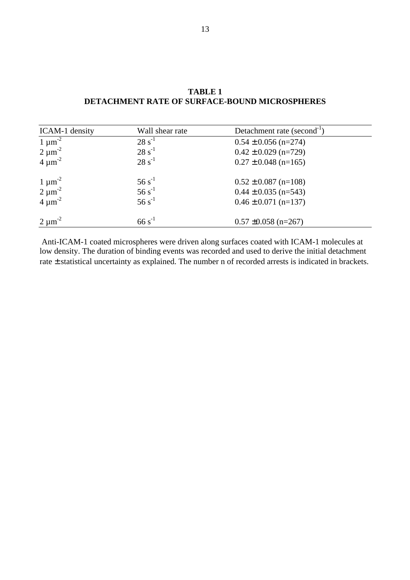| ICAM-1 density | Wall shear rate | Detachment rate (second <sup>-1</sup> ) |  |
|----------------|-----------------|-----------------------------------------|--|
| $1 \mu m^{-2}$ | $28 s^{-1}$     | $0.54 \pm 0.056$ (n=274)                |  |
| $2 \mu m^{-2}$ | $28 s^{-1}$     | $0.42 \pm 0.029$ (n=729)                |  |
| $4 \mu m^{-2}$ | $28 s^{-1}$     | $0.27 \pm 0.048$ (n=165)                |  |
| $1 \mu m^{-2}$ | $56 s^{-1}$     | $0.52 \pm 0.087$ (n=108)                |  |
| $2 \mu m^{-2}$ | $56 s^{-1}$     | $0.44 \pm 0.035$ (n=543)                |  |
| $4 \mu m^{-2}$ | $56 s^{-1}$     | $0.46 \pm 0.071$ (n=137)                |  |
| $2 \mu m^{-2}$ | $66 s^{-1}$     | $0.57 \pm 0.058$ (n=267)                |  |

## **TABLE 1 DETACHMENT RATE OF SURFACE-BOUND MICROSPHERES**

 Anti-ICAM-1 coated microspheres were driven along surfaces coated with ICAM-1 molecules at low density. The duration of binding events was recorded and used to derive the initial detachment rate ± statistical uncertainty as explained. The number n of recorded arrests is indicated in brackets.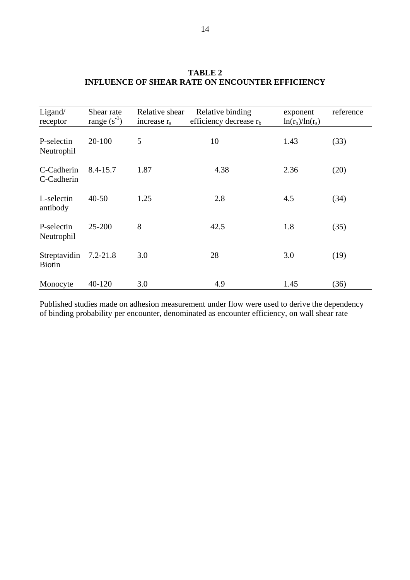| Ligand/<br>receptor           | Shear rate<br>range $(s^{-1})$ | Relative shear<br>increase $r_s$ | Relative binding<br>efficiency decrease $r_b$ | exponent<br>$ln(r_b)/ln(r_s)$ | reference |
|-------------------------------|--------------------------------|----------------------------------|-----------------------------------------------|-------------------------------|-----------|
| P-selectin<br>Neutrophil      | $20 - 100$                     | 5                                | 10                                            | 1.43                          | (33)      |
| C-Cadherin<br>C-Cadherin      | $8.4 - 15.7$                   | 1.87                             | 4.38                                          | 2.36                          | (20)      |
| L-selectin<br>antibody        | $40 - 50$                      | 1.25                             | 2.8                                           | 4.5                           | (34)      |
| P-selectin<br>Neutrophil      | 25-200                         | 8                                | 42.5                                          | 1.8                           | (35)      |
| Streptavidin<br><b>Biotin</b> | $7.2 - 21.8$                   | 3.0                              | 28                                            | 3.0                           | (19)      |
| Monocyte                      | 40-120                         | 3.0                              | 4.9                                           | 1.45                          | (36)      |

## **TABLE 2 INFLUENCE OF SHEAR RATE ON ENCOUNTER EFFICIENCY**

Published studies made on adhesion measurement under flow were used to derive the dependency of binding probability per encounter, denominated as encounter efficiency, on wall shear rate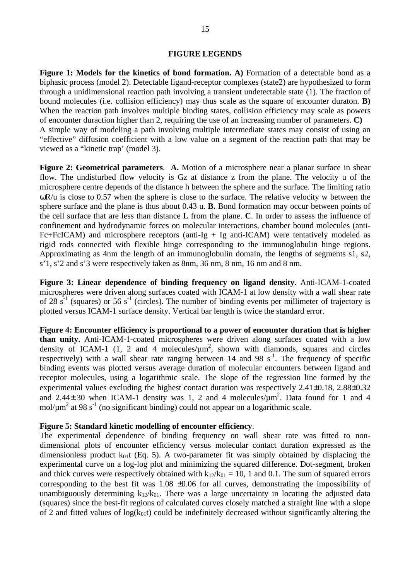#### **FIGURE LEGENDS**

**Figure 1: Models for the kinetics of bond formation. A)** Formation of a detectable bond as a biphasic process (model 2). Detectable ligand-receptor complexes (state2) are hypothesized to form through a unidimensional reaction path involving a transient undetectable state (1). The fraction of bound molecules (i.e. collision efficiency) may thus scale as the square of encounter duraton. **B)** When the reaction path involves multiple binding states, collision efficiency may scale as powers of encounter duraction higher than 2, requiring the use of an increasing number of parameters. **C)** A simple way of modeling a path involving multiple intermediate states may consist of using an "effective" diffusion coefficient with a low value on a segment of the reaction path that may be viewed as a "kinetic trap' (model 3).

**Figure 2: Geometrical parameters**. **A.** Motion of a microsphere near a planar surface in shear flow. The undisturbed flow velocity is Gz at distance z from the plane. The velocity u of the microsphere centre depends of the distance h between the sphere and the surface. The limiting ratio ωR/u is close to 0.57 when the sphere is close to the surface. The relative velocity w between the sphere surface and the plane is thus about 0.43 u. **B.** Bond formation may occur between points of the cell surface that are less than distance L from the plane. **C**. In order to assess the influence of confinement and hydrodynamic forces on molecular interactions, chamber bound molecules (anti-Fc+FcICAM) and microsphere receptors (anti-Ig + Ig anti-ICAM) were tentatively modeled as rigid rods connected with flexible hinge corresponding to the immunoglobulin hinge regions. Approximating as 4nm the length of an immunoglobulin domain, the lengths of segments s1, s2, s'1, s'2 and s'3 were respectively taken as 8nm, 36 nm, 8 nm, 16 nm and 8 nm.

**Figure 3: Linear dependence of binding frequency on ligand density**. Anti-ICAM-1-coated microspheres were driven along surfaces coated with ICAM-1 at low density with a wall shear rate of 28  $s^{-1}$  (squares) or 56  $s^{-1}$  (circles). The number of binding events per millimeter of trajectory is plotted versus ICAM-1 surface density. Vertical bar length is twice the standard error.

**Figure 4: Encounter efficiency is proportional to a power of encounter duration that is higher than unity.** Anti-ICAM-1-coated microspheres were driven along surfaces coated with a low density of ICAM-1 (1, 2 and 4 molecules/ $\mu$ m<sup>2</sup>, shown with diamonds, squares and circles respectively) with a wall shear rate ranging between 14 and 98  $s^{-1}$ . The frequency of specific binding events was plotted versus average duration of molecular encounters between ligand and receptor molecules, using a logarithmic scale. The slope of the regression line formed by the experimental values excluding the highest contact duration was respectively 2.41±0.18, 2.88±0.32 and 2.44 $\pm$ .30 when ICAM-1 density was 1, 2 and 4 molecules/ $\mu$ m<sup>2</sup>. Data found for 1 and 4 mol/ $\mu$ m<sup>2</sup> at 98 s<sup>-1</sup> (no significant binding) could not appear on a logarithmic scale.

#### **Figure 5: Standard kinetic modelling of encounter efficiency**.

The experimental dependence of binding frequency on wall shear rate was fitted to nondimensional plots of encounter efficiency versus molecular contact duration expressed as the dimensionless product  $k_{01}$ t (Eq. 5). A two-parameter fit was simply obtained by displacing the experimental curve on a log-log plot and minimizing the squared difference. Dot-segment, broken and thick curves were respectively obtained with  $k_{12}/k_{01} = 10$ , 1 and 0.1. The sum of squared errors corresponding to the best fit was  $1.08 \pm 0.06$  for all curves, demonstrating the impossibility of unambiguously determining  $k_1/k_0$ . There was a large uncertainty in locating the adjusted data (squares) since the best-fit regions of calculated curves closely matched a straight line with a slope of 2 and fitted values of  $log(k_0,t)$  could be indefinitely decreased without significantly altering the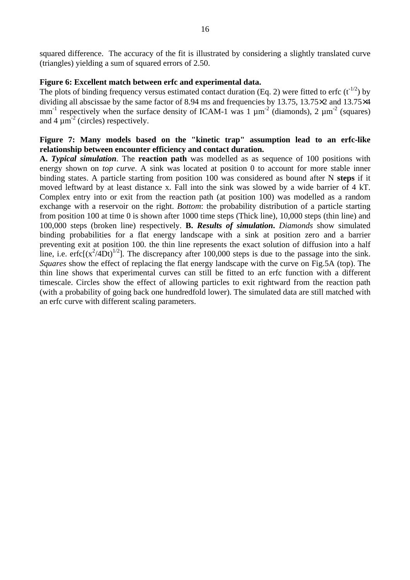squared difference. The accuracy of the fit is illustrated by considering a slightly translated curve (triangles) yielding a sum of squared errors of 2.50.

#### **Figure 6: Excellent match between erfc and experimental data.**

The plots of binding frequency versus estimated contact duration (Eq. 2) were fitted to erfc ( $t^{-1/2}$ ) by dividing all abscissae by the same factor of 8.94 ms and frequencies by 13.75, 13.75×2 and 13.75×4 mm<sup>-1</sup> respectively when the surface density of ICAM-1 was 1  $\mu$ m<sup>-2</sup> (diamonds), 2  $\mu$ m<sup>-2</sup> (squares) and  $4 \mu m^{-2}$  (circles) respectively.

## **Figure 7: Many models based on the "kinetic trap" assumption lead to an erfc-like relationship between encounter efficiency and contact duration.**

**A.** *Typical simulation*. The **reaction path** was modelled as as sequence of 100 positions with energy shown on *top curve*. A sink was located at position 0 to account for more stable inner binding states. A particle starting from position 100 was considered as bound after N **steps** if it moved leftward by at least distance x. Fall into the sink was slowed by a wide barrier of 4 kT. Complex entry into or exit from the reaction path (at position 100) was modelled as a random exchange with a reservoir on the right. *Bottom*: the probability distribution of a particle starting from position 100 at time 0 is shown after 1000 time steps (Thick line), 10,000 steps (thin line) and 100,000 steps (broken line) respectively. **B.** *Results of simulation***.** *Diamonds* show simulated binding probabilities for a flat energy landscape with a sink at position zero and a barrier preventing exit at position 100. the thin line represents the exact solution of diffusion into a half line, i.e.  $erfc[(x^2/4Dt)^{1/2}]$ . The discrepancy after 100,000 steps is due to the passage into the sink. *Squares* show the effect of replacing the flat energy landscape with the curve on Fig.5A (top). The thin line shows that experimental curves can still be fitted to an erfc function with a different timescale. Circles show the effect of allowing particles to exit rightward from the reaction path (with a probability of going back one hundredfold lower). The simulated data are still matched with an erfc curve with different scaling parameters.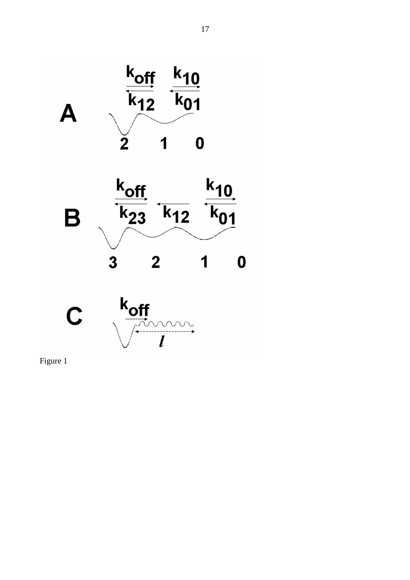





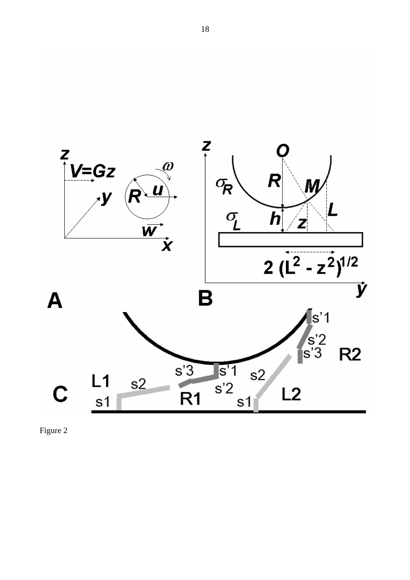

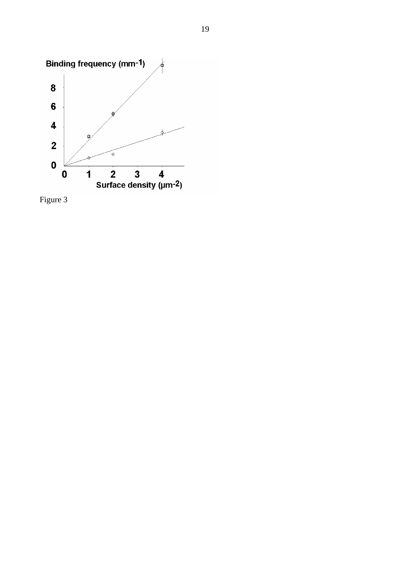

Figure 3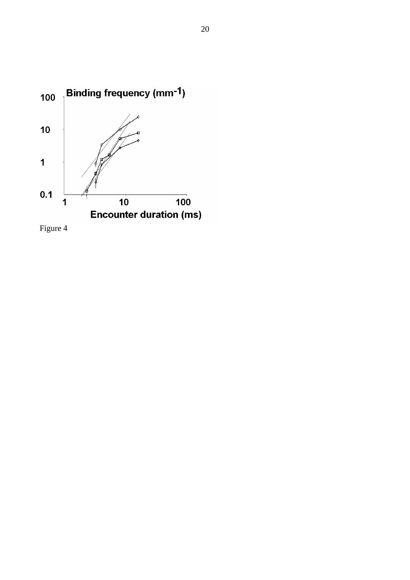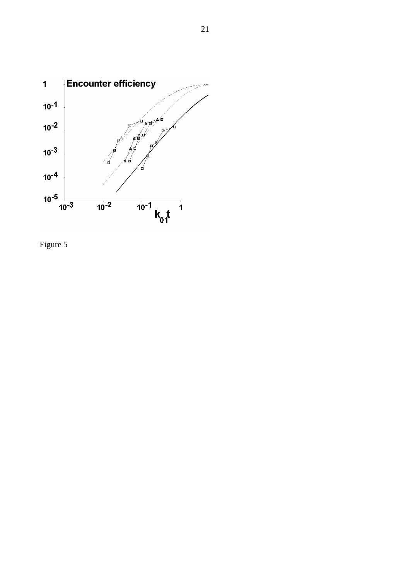

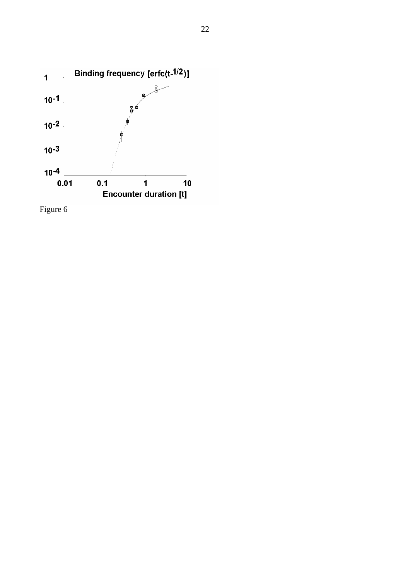

Figure 6